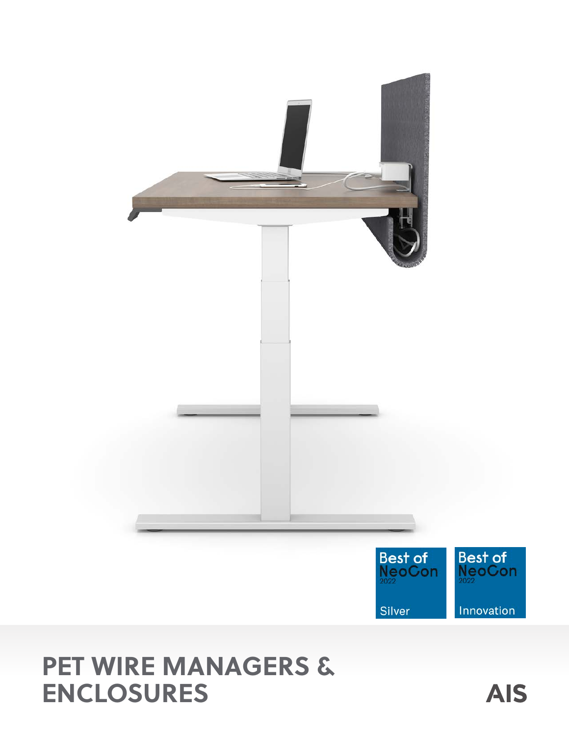

# **PET WIRE MANAGERS & ENCLOSURES**